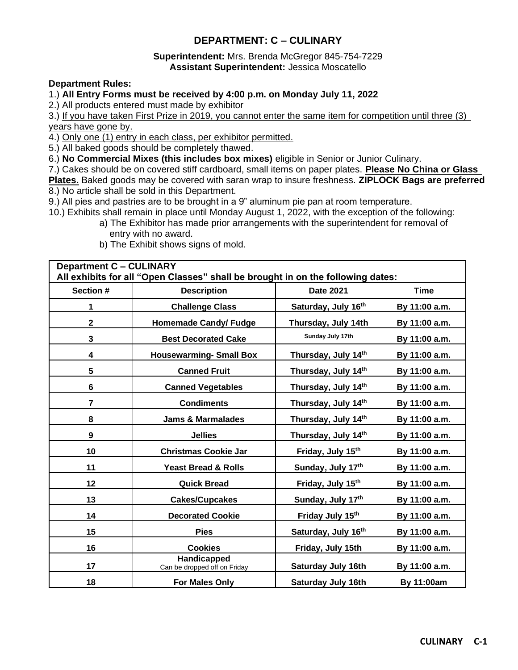# **DEPARTMENT: C – CULINARY**

## **Superintendent:** Mrs. Brenda McGregor 845-754-7229 **Assistant Superintendent:** Jessica Moscatello

## **Department Rules:**

## 1.) **All Entry Forms must be received by 4:00 p.m. on Monday July 11, 2022**

2.) All products entered must made by exhibitor

3.) If you have taken First Prize in 2019, you cannot enter the same item for competition until three (3) years have gone by.

4.) Only one (1) entry in each class, per exhibitor permitted.

5.) All baked goods should be completely thawed.

6.) **No Commercial Mixes (this includes box mixes)** eligible in Senior or Junior Culinary.

7.) Cakes should be on covered stiff cardboard, small items on paper plates. **Please No China or Glass** 

**Plates.** Baked goods may be covered with saran wrap to insure freshness. **ZIPLOCK Bags are preferred** 8.) No article shall be sold in this Department.

9.) All pies and pastries are to be brought in a 9" aluminum pie pan at room temperature.

- 10.) Exhibits shall remain in place until Monday August 1, 2022, with the exception of the following:
	- a) The Exhibitor has made prior arrangements with the superintendent for removal of entry with no award.
	- b) The Exhibit shows signs of mold.

**Department C – CULINARY All exhibits for all "Open Classes" shall be brought in on the following dates: Section # Description Date 2021 Time** 1 **Challenge Class Saturday, July 16<sup>th</sup> By 11:00 a.m. 2 Homemade Candy/ Fudge Thursday, July 14th By 11:00 a.m. 3 Best Decorated Cake Sunday July 17th By 11:00 a.m. 4 Housewarming- Small Box Thursday, July 14th By 11:00 a.m. 5 Canned Fruit Thursday, July 14th By 11:00 a.m. 6 Canned Vegetables Thursday, July 14th By 11:00 a.m. 7 Condiments Thursday, July 14th By 11:00 a.m. 8 Jams & Marmalades Thursday, July 14th By 11:00 a.m. 9 Jellies Thursday, July 14th By 11:00 a.m. 10 Christmas Cookie Jar Friday, July 15th By 11:00 a.m. 11 Yeast Bread & Rolls Sunday, July 17th By 11:00 a.m. 12 Quick Bread Friday, July 15th By 11:00 a.m. 13 Cakes/Cupcakes Sunday, July 17th By 11:00 a.m. 14 Decorated Cookie Friday July 15th By 11:00 a.m. 15 Pies Saturday, July 16th By 11:00 a.m. 16 Cookies Friday, July 15th By 11:00 a.m. 17 Handicapped** Can be dropped off on Friday **Saturday July 16th By 11:00 a.m. 18 For Males Only Saturday July 16th By 11:00am**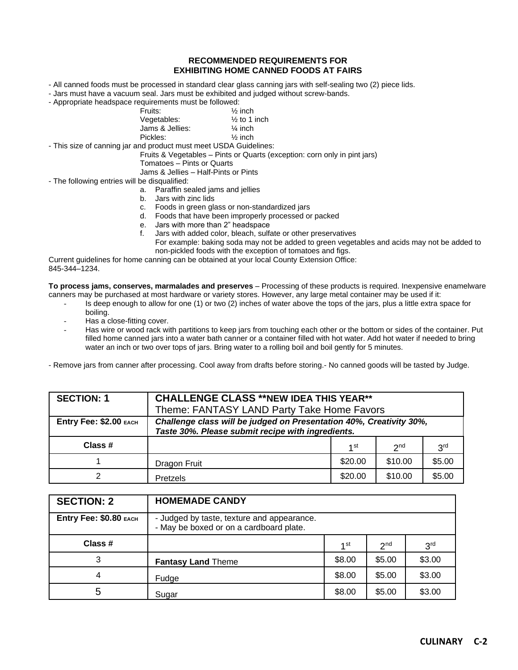#### **RECOMMENDED REQUIREMENTS FOR EXHIBITING HOME CANNED FOODS AT FAIRS**

- All canned foods must be processed in standard clear glass canning jars with self-sealing two (2) piece lids.
- Jars must have a vacuum seal. Jars must be exhibited and judged without screw-bands.
- Appropriate headspace requirements must be followed:

| Fruits:         | $\frac{1}{2}$ inch      |
|-----------------|-------------------------|
| Vegetables:     | $\frac{1}{2}$ to 1 inch |
| Jams & Jellies: | $\frac{1}{4}$ inch      |
| Pickles:        | $\frac{1}{2}$ inch      |

- This size of canning jar and product must meet USDA Guidelines:

Fruits & Vegetables – Pints or Quarts (exception: corn only in pint jars)

Tomatoes – Pints or Quarts

Jams & Jellies – Half-Pints or Pints

- The following entries will be disqualified:
	- a. Paraffin sealed jams and jellies
	- b. Jars with zinc lids
	- c. Foods in green glass or non-standardized jars
	- d. Foods that have been improperly processed or packed
	- e. Jars with more than 2" headspace
	- f. Jars with added color, bleach, sulfate or other preservatives For example: baking soda may not be added to green vegetables and acids may not be added to non-pickled foods with the exception of tomatoes and figs.

Current guidelines for home canning can be obtained at your local County Extension Office: 845-344–1234.

**To process jams, conserves, marmalades and preserves** – Processing of these products is required. Inexpensive enamelware canners may be purchased at most hardware or variety stores. However, any large metal container may be used if it:

- Is deep enough to allow for one (1) or two (2) inches of water above the tops of the jars, plus a little extra space for boiling.
- Has a close-fitting cover.
- Has wire or wood rack with partitions to keep jars from touching each other or the bottom or sides of the container. Put filled home canned jars into a water bath canner or a container filled with hot water. Add hot water if needed to bring water an inch or two over tops of jars. Bring water to a rolling boil and boil gently for 5 minutes.

- Remove jars from canner after processing. Cool away from drafts before storing.- No canned goods will be tasted by Judge.

| <b>SECTION: 1</b>      | <b>CHALLENGE CLASS **NEW IDEA THIS YEAR**</b>                                                                            |         |                 |                 |
|------------------------|--------------------------------------------------------------------------------------------------------------------------|---------|-----------------|-----------------|
|                        | Theme: FANTASY LAND Party Take Home Favors                                                                               |         |                 |                 |
| Entry Fee: \$2.00 EACH | Challenge class will be judged on Presentation 40%, Creativity 30%,<br>Taste 30%. Please submit recipe with ingredients. |         |                 |                 |
| Class #                |                                                                                                                          | 1 st    | 2 <sub>nd</sub> | 3 <sup>rd</sup> |
|                        | Dragon Fruit                                                                                                             | \$20.00 | \$10.00         | \$5.00          |
|                        | Pretzels                                                                                                                 | \$20.00 | \$10.00         | \$5.00          |

| <b>SECTION: 2</b>      | <b>HOMEMADE CANDY</b>                                                                 |                 |                 |                 |
|------------------------|---------------------------------------------------------------------------------------|-----------------|-----------------|-----------------|
| Entry Fee: \$0.80 EACH | - Judged by taste, texture and appearance.<br>- May be boxed or on a cardboard plate. |                 |                 |                 |
| Class #                |                                                                                       | 1 <sup>st</sup> | 2 <sub>nd</sub> | 3 <sup>rd</sup> |
| 3                      | <b>Fantasy Land Theme</b>                                                             | \$8.00          | \$5.00          | \$3.00          |
| 4                      | Fudge                                                                                 | \$8.00          | \$5.00          | \$3.00          |
| 5                      | Sugar                                                                                 | \$8.00          | \$5.00          | \$3.00          |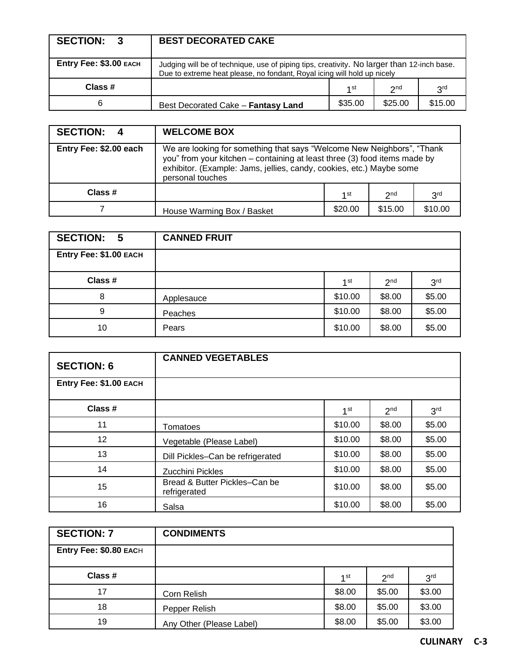| <b>SECTION:</b><br>-3  | <b>BEST DECORATED CAKE</b>                                                                                                                                            |         |                 |                 |
|------------------------|-----------------------------------------------------------------------------------------------------------------------------------------------------------------------|---------|-----------------|-----------------|
| Entry Fee: \$3.00 EACH | Judging will be of technique, use of piping tips, creativity. No larger than 12-inch base.<br>Due to extreme heat please, no fondant, Royal icing will hold up nicely |         |                 |                 |
| Class #                |                                                                                                                                                                       | 1 st    | 2 <sub>nd</sub> | 3 <sup>rd</sup> |
| 6                      | Best Decorated Cake - Fantasy Land                                                                                                                                    | \$35.00 | \$25.00         | \$15.00         |

| SECTION: 4             | <b>WELCOME BOX</b>                                                                                                                                                                                                                              |         |                 |                 |
|------------------------|-------------------------------------------------------------------------------------------------------------------------------------------------------------------------------------------------------------------------------------------------|---------|-----------------|-----------------|
| Entry Fee: \$2.00 each | We are looking for something that says "Welcome New Neighbors", "Thank<br>you" from your kitchen – containing at least three (3) food items made by<br>exhibitor. (Example: Jams, jellies, candy, cookies, etc.) Maybe some<br>personal touches |         |                 |                 |
| Class #                |                                                                                                                                                                                                                                                 | 4 st    | 2 <sub>nd</sub> | 3 <sup>rd</sup> |
|                        | House Warming Box / Basket                                                                                                                                                                                                                      | \$20.00 | \$15.00         | \$10.00         |

| <b>SECTION:</b><br>- 5 | <b>CANNED FRUIT</b> |         |                 |                 |
|------------------------|---------------------|---------|-----------------|-----------------|
| Entry Fee: \$1.00 EACH |                     |         |                 |                 |
| Class #                |                     | 1st     | 2 <sub>nd</sub> | 3 <sup>rd</sup> |
| 8                      | Applesauce          | \$10.00 | \$8.00          | \$5.00          |
| 9                      | Peaches             | \$10.00 | \$8.00          | \$5.00          |
| 10                     | Pears               | \$10.00 | \$8.00          | \$5.00          |

| <b>SECTION: 6</b>      | <b>CANNED VEGETABLES</b>                      |                 |                 |                 |
|------------------------|-----------------------------------------------|-----------------|-----------------|-----------------|
| Entry Fee: \$1.00 EACH |                                               |                 |                 |                 |
| Class #                |                                               | 1 <sup>st</sup> | 2 <sup>nd</sup> | 3 <sup>rd</sup> |
| 11                     | Tomatoes                                      | \$10.00         | \$8.00          | \$5.00          |
| $12 \overline{ }$      | Vegetable (Please Label)                      | \$10.00         | \$8.00          | \$5.00          |
| 13                     | Dill Pickles-Can be refrigerated              | \$10.00         | \$8.00          | \$5.00          |
| 14                     | Zucchini Pickles                              | \$10.00         | \$8.00          | \$5.00          |
| 15                     | Bread & Butter Pickles-Can be<br>refrigerated | \$10.00         | \$8.00          | \$5.00          |
| 16                     | Salsa                                         | \$10.00         | \$8.00          | \$5.00          |

| <b>SECTION: 7</b>      | <b>CONDIMENTS</b>        |        |                 |                 |
|------------------------|--------------------------|--------|-----------------|-----------------|
| Entry Fee: \$0.80 EACH |                          |        |                 |                 |
| Class #                |                          | 1 st   | 2 <sub>nd</sub> | 3 <sup>rd</sup> |
| 17                     | Corn Relish              | \$8.00 | \$5.00          | \$3.00          |
| 18                     | Pepper Relish            | \$8.00 | \$5.00          | \$3.00          |
| 19                     | Any Other (Please Label) | \$8.00 | \$5.00          | \$3.00          |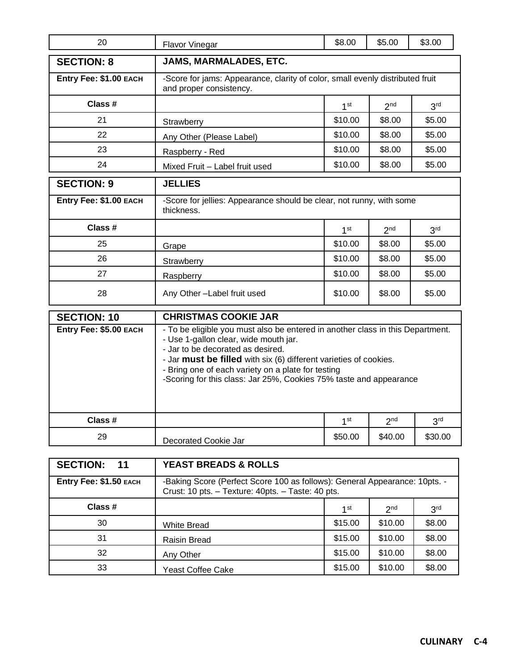| 20                     | Flavor Vinegar                                                                                                                                                                                                                                                                                                                                                | \$8.00          | \$5.00          | \$3.00          |
|------------------------|---------------------------------------------------------------------------------------------------------------------------------------------------------------------------------------------------------------------------------------------------------------------------------------------------------------------------------------------------------------|-----------------|-----------------|-----------------|
| <b>SECTION: 8</b>      | JAMS, MARMALADES, ETC.                                                                                                                                                                                                                                                                                                                                        |                 |                 |                 |
| Entry Fee: \$1.00 EACH | -Score for jams: Appearance, clarity of color, small evenly distributed fruit<br>and proper consistency.                                                                                                                                                                                                                                                      |                 |                 |                 |
| Class #                |                                                                                                                                                                                                                                                                                                                                                               | 1 <sup>st</sup> | 2 <sup>nd</sup> | 3 <sup>rd</sup> |
| 21                     | Strawberry                                                                                                                                                                                                                                                                                                                                                    | \$10.00         | \$8.00          | \$5.00          |
| 22                     | Any Other (Please Label)                                                                                                                                                                                                                                                                                                                                      | \$10.00         | \$8.00          | \$5.00          |
| 23                     | Raspberry - Red                                                                                                                                                                                                                                                                                                                                               | \$10.00         | \$8.00          | \$5.00          |
| 24                     | Mixed Fruit - Label fruit used                                                                                                                                                                                                                                                                                                                                | \$10.00         | \$8.00          | \$5.00          |
| <b>SECTION: 9</b>      | <b>JELLIES</b>                                                                                                                                                                                                                                                                                                                                                |                 |                 |                 |
| Entry Fee: \$1.00 EACH | -Score for jellies: Appearance should be clear, not runny, with some<br>thickness.                                                                                                                                                                                                                                                                            |                 |                 |                 |
| Class #                |                                                                                                                                                                                                                                                                                                                                                               | 1 <sup>st</sup> | 2 <sup>nd</sup> | 3 <sup>rd</sup> |
| 25                     | Grape                                                                                                                                                                                                                                                                                                                                                         | \$10.00         | \$8.00          | \$5.00          |
| 26                     | Strawberry                                                                                                                                                                                                                                                                                                                                                    | \$10.00         | \$8.00          | \$5.00          |
| 27                     | Raspberry                                                                                                                                                                                                                                                                                                                                                     | \$10.00         | \$8.00          | \$5.00          |
| 28                     | Any Other-Label fruit used                                                                                                                                                                                                                                                                                                                                    | \$10.00         | \$8.00          | \$5.00          |
| <b>SECTION: 10</b>     | <b>CHRISTMAS COOKIE JAR</b>                                                                                                                                                                                                                                                                                                                                   |                 |                 |                 |
| Entry Fee: \$5.00 EACH | - To be eligible you must also be entered in another class in this Department.<br>- Use 1-gallon clear, wide mouth jar.<br>- Jar to be decorated as desired.<br>- Jar must be filled with six (6) different varieties of cookies.<br>- Bring one of each variety on a plate for testing<br>-Scoring for this class: Jar 25%, Cookies 75% taste and appearance |                 |                 |                 |
| Class #                |                                                                                                                                                                                                                                                                                                                                                               | 1 <sup>st</sup> | 2 <sup>nd</sup> | 3 <sup>rd</sup> |
| 29                     | Decorated Cookie Jar                                                                                                                                                                                                                                                                                                                                          | \$50.00         | \$40.00         | \$30.00         |

| <b>SECTION:</b><br>11  | <b>YEAST BREADS &amp; ROLLS</b>                                                                                                 |         |                 |                 |
|------------------------|---------------------------------------------------------------------------------------------------------------------------------|---------|-----------------|-----------------|
| Entry Fee: \$1.50 EACH | -Baking Score (Perfect Score 100 as follows): General Appearance: 10pts. -<br>Crust: 10 pts. - Texture: 40pts. - Taste: 40 pts. |         |                 |                 |
| Class #                |                                                                                                                                 | 1st     | 2 <sub>nd</sub> | 3 <sup>rd</sup> |
| 30                     | <b>White Bread</b>                                                                                                              | \$15.00 | \$10.00         | \$8.00          |
| 31                     | <b>Raisin Bread</b>                                                                                                             | \$15.00 | \$10.00         | \$8.00          |
| 32                     | Any Other                                                                                                                       | \$15.00 | \$10.00         | \$8.00          |
| 33                     | Yeast Coffee Cake                                                                                                               | \$15.00 | \$10.00         | \$8.00          |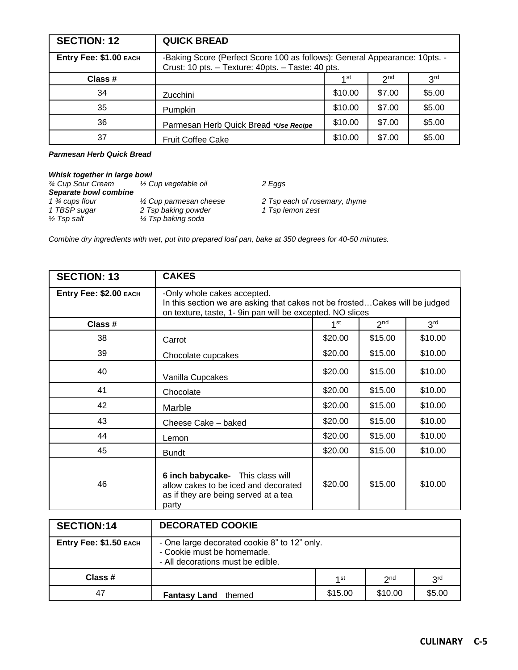| <b>SECTION: 12</b>     | <b>QUICK BREAD</b>                                                                                                              |         |                 |                 |
|------------------------|---------------------------------------------------------------------------------------------------------------------------------|---------|-----------------|-----------------|
| Entry Fee: \$1.00 EACH | -Baking Score (Perfect Score 100 as follows): General Appearance: 10pts. -<br>Crust: 10 pts. - Texture: 40pts. - Taste: 40 pts. |         |                 |                 |
| Class #                |                                                                                                                                 | 1 st    | 2 <sub>nd</sub> | 3 <sup>rd</sup> |
| 34                     | <b>Zucchini</b>                                                                                                                 | \$10.00 | \$7.00          | \$5.00          |
| 35                     | Pumpkin                                                                                                                         | \$10.00 | \$7.00          | \$5.00          |
| 36                     | Parmesan Herb Quick Bread *Use Recipe                                                                                           | \$10.00 | \$7.00          | \$5.00          |
| 37                     | <b>Fruit Coffee Cake</b>                                                                                                        | \$10.00 | \$7.00          | \$5.00          |

#### *Parmesan Herb Quick Bread*

| Whisk together in large bowl |                                   |                               |
|------------------------------|-----------------------------------|-------------------------------|
| <b>34 Cup Sour Cream</b>     | 1/2 Cup vegetable oil             | 2 Eggs                        |
| Separate bowl combine        |                                   |                               |
| 1 <sup>3</sup> ⁄4 cups flour | $\frac{1}{2}$ Cup parmesan cheese | 2 Tsp each of rosemary, thyme |
| 1 TBSP sugar                 | 2 Tsp baking powder               | 1 Tsp lemon zest              |
| $\frac{1}{2}$ Tsp salt       | 1⁄4 Tsp baking soda               |                               |

*Combine dry ingredients with wet, put into prepared loaf pan, bake at 350 degrees for 40-50 minutes.*

| <b>SECTION: 13</b>     | <b>CAKES</b>                                                                                                                                                            |                 |                 |                 |
|------------------------|-------------------------------------------------------------------------------------------------------------------------------------------------------------------------|-----------------|-----------------|-----------------|
| Entry Fee: \$2.00 EACH | -Only whole cakes accepted.<br>In this section we are asking that cakes not be frostedCakes will be judged<br>on texture, taste, 1- 9in pan will be excepted. NO slices |                 |                 |                 |
| Class #                |                                                                                                                                                                         | 1 <sup>st</sup> | 2 <sup>nd</sup> | 3 <sup>rd</sup> |
| 38                     | Carrot                                                                                                                                                                  | \$20.00         | \$15.00         | \$10.00         |
| 39                     | Chocolate cupcakes                                                                                                                                                      | \$20.00         | \$15.00         | \$10.00         |
| 40                     | Vanilla Cupcakes                                                                                                                                                        | \$20.00         | \$15.00         | \$10.00         |
| 41                     | Chocolate                                                                                                                                                               | \$20.00         | \$15.00         | \$10.00         |
| 42                     | Marble                                                                                                                                                                  | \$20.00         | \$15.00         | \$10.00         |
| 43                     | Cheese Cake - baked                                                                                                                                                     | \$20.00         | \$15.00         | \$10.00         |
| 44                     | Lemon                                                                                                                                                                   | \$20.00         | \$15.00         | \$10.00         |
| 45                     | <b>Bundt</b>                                                                                                                                                            | \$20.00         | \$15.00         | \$10.00         |
| 46                     | 6 inch babycake- This class will<br>allow cakes to be iced and decorated<br>as if they are being served at a tea<br>party                                               | \$20.00         | \$15.00         | \$10.00         |

| <b>SECTION:14</b>      | <b>DECORATED COOKIE</b>                                                                                         |         |                 |                 |
|------------------------|-----------------------------------------------------------------------------------------------------------------|---------|-----------------|-----------------|
| Entry Fee: \$1.50 EACH | - One large decorated cookie 8" to 12" only.<br>- Cookie must be homemade.<br>- All decorations must be edible. |         |                 |                 |
| Class #                |                                                                                                                 | 4 st    | 2 <sub>nd</sub> | 3 <sup>rd</sup> |
| 47                     | <b>Fantasy Land</b><br>themed                                                                                   | \$15.00 | \$10.00         | \$5.00          |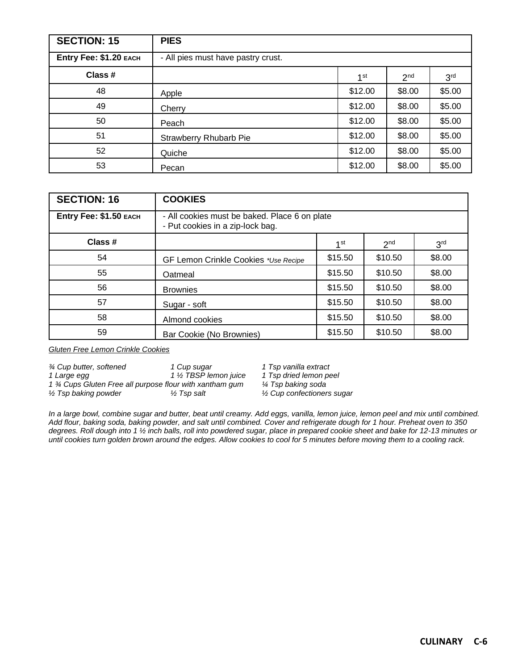| <b>SECTION: 15</b>     | <b>PIES</b>                        |                 |                 |                 |
|------------------------|------------------------------------|-----------------|-----------------|-----------------|
| Entry Fee: \$1.20 EACH | - All pies must have pastry crust. |                 |                 |                 |
| Class #                |                                    | 1 <sup>st</sup> | 2 <sup>nd</sup> | 3 <sup>rd</sup> |
| 48                     | Apple                              | \$12.00         | \$8.00          | \$5.00          |
| 49                     | Cherry                             | \$12.00         | \$8.00          | \$5.00          |
| 50                     | Peach                              | \$12.00         | \$8.00          | \$5.00          |
| 51                     | <b>Strawberry Rhubarb Pie</b>      | \$12.00         | \$8.00          | \$5.00          |
| 52                     | Quiche                             | \$12.00         | \$8.00          | \$5.00          |
| 53                     | Pecan                              | \$12.00         | \$8.00          | \$5.00          |

| <b>SECTION: 16</b>     | <b>COOKIES</b>                                                                    |         |                 |                 |
|------------------------|-----------------------------------------------------------------------------------|---------|-----------------|-----------------|
| Entry Fee: \$1.50 EACH | - All cookies must be baked. Place 6 on plate<br>- Put cookies in a zip-lock bag. |         |                 |                 |
| Class #                |                                                                                   | 1st     | 2 <sub>nd</sub> | 3 <sup>rd</sup> |
| 54                     | GF Lemon Crinkle Cookies *Use Recipe                                              | \$15.50 | \$10.50         | \$8.00          |
| 55                     | Oatmeal                                                                           | \$15.50 | \$10.50         | \$8.00          |
| 56                     | <b>Brownies</b>                                                                   | \$15.50 | \$10.50         | \$8.00          |
| 57                     | Sugar - soft                                                                      | \$15.50 | \$10.50         | \$8.00          |
| 58                     | Almond cookies                                                                    | \$15.50 | \$10.50         | \$8.00          |
| 59                     | Bar Cookie (No Brownies)                                                          | \$15.50 | \$10.50         | \$8.00          |

*Gluten Free Lemon Crinkle Cookies*

| 3⁄4 Cup butter, softened                                | 1 Cup sugar            | 1 Tsp vanilla extract                 |
|---------------------------------------------------------|------------------------|---------------------------------------|
| 1 Large egg                                             | 1 1/2 TBSP lemon juice | 1 Tsp dried lemon peel                |
| 1 % Cups Gluten Free all purpose flour with xantham gum |                        | ¼ Tsp baking soda                     |
| $\frac{1}{2}$ Tsp baking powder                         | 1⁄2 Tsp salt           | $\frac{1}{2}$ Cup confectioners sugar |

*In a large bowl, combine sugar and butter, beat until creamy. Add eggs, vanilla, lemon juice, lemon peel and mix until combined. Add flour, baking soda, baking powder, and salt until combined. Cover and refrigerate dough for 1 hour. Preheat oven to 350 degrees. Roll dough into 1 ½ inch balls, roll into powdered sugar, place in prepared cookie sheet and bake for 12-13 minutes or until cookies turn golden brown around the edges. Allow cookies to cool for 5 minutes before moving them to a cooling rack.*